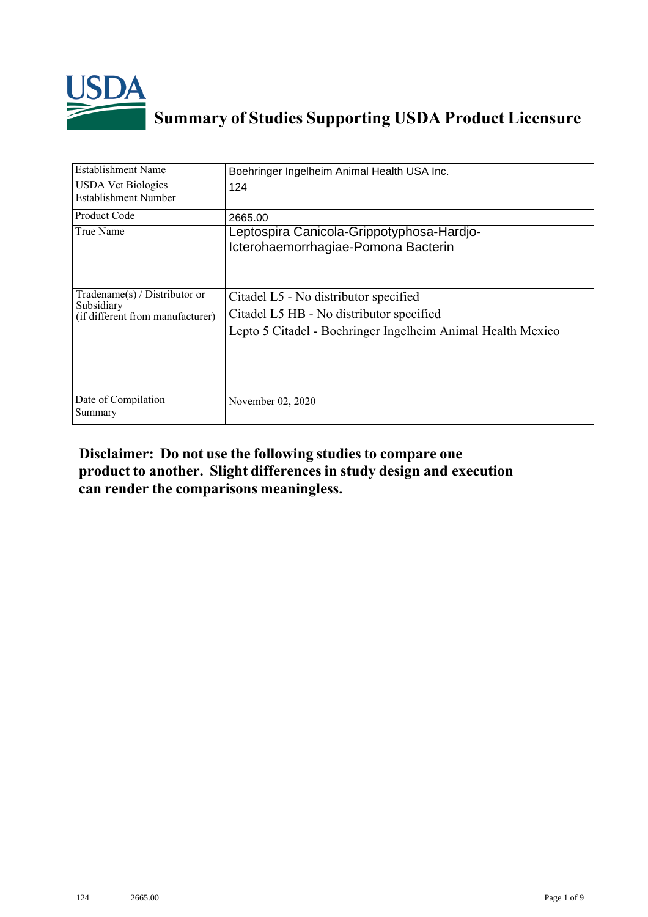

# **Summary of Studies Supporting USDA Product Licensure**

| <b>Establishment Name</b>                                                       | Boehringer Ingelheim Animal Health USA Inc.                                                                                                      |
|---------------------------------------------------------------------------------|--------------------------------------------------------------------------------------------------------------------------------------------------|
| <b>USDA</b> Vet Biologics<br>Establishment Number                               | 124                                                                                                                                              |
| Product Code                                                                    | 2665.00                                                                                                                                          |
| True Name                                                                       | Leptospira Canicola-Grippotyphosa-Hardjo-<br>Icterohaemorrhagiae-Pomona Bacterin                                                                 |
| Tradename(s) / Distributor or<br>Subsidiary<br>(if different from manufacturer) | Citadel L5 - No distributor specified<br>Citadel L5 HB - No distributor specified<br>Lepto 5 Citadel - Boehringer Ingelheim Animal Health Mexico |
| Date of Compilation<br>Summary                                                  | November 02, 2020                                                                                                                                |

## **Disclaimer: Do not use the following studiesto compare one product to another. Slight differencesin study design and execution can render the comparisons meaningless.**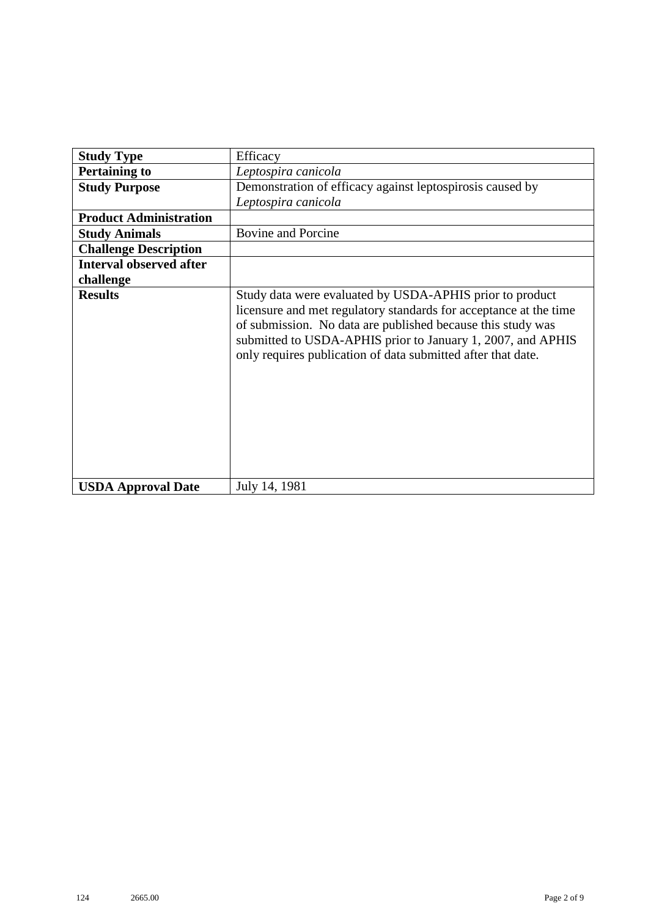| <b>Study Type</b>              | Efficacy                                                                                                                                                                                                                                                                                                                    |  |  |  |  |  |  |
|--------------------------------|-----------------------------------------------------------------------------------------------------------------------------------------------------------------------------------------------------------------------------------------------------------------------------------------------------------------------------|--|--|--|--|--|--|
| <b>Pertaining to</b>           | Leptospira canicola                                                                                                                                                                                                                                                                                                         |  |  |  |  |  |  |
| <b>Study Purpose</b>           | Demonstration of efficacy against leptospirosis caused by                                                                                                                                                                                                                                                                   |  |  |  |  |  |  |
|                                | Leptospira canicola                                                                                                                                                                                                                                                                                                         |  |  |  |  |  |  |
| <b>Product Administration</b>  |                                                                                                                                                                                                                                                                                                                             |  |  |  |  |  |  |
| <b>Study Animals</b>           | <b>Bovine and Porcine</b>                                                                                                                                                                                                                                                                                                   |  |  |  |  |  |  |
| <b>Challenge Description</b>   |                                                                                                                                                                                                                                                                                                                             |  |  |  |  |  |  |
| <b>Interval observed after</b> |                                                                                                                                                                                                                                                                                                                             |  |  |  |  |  |  |
| challenge                      |                                                                                                                                                                                                                                                                                                                             |  |  |  |  |  |  |
| <b>Results</b>                 | Study data were evaluated by USDA-APHIS prior to product<br>licensure and met regulatory standards for acceptance at the time<br>of submission. No data are published because this study was<br>submitted to USDA-APHIS prior to January 1, 2007, and APHIS<br>only requires publication of data submitted after that date. |  |  |  |  |  |  |
| <b>USDA Approval Date</b>      | July 14, 1981                                                                                                                                                                                                                                                                                                               |  |  |  |  |  |  |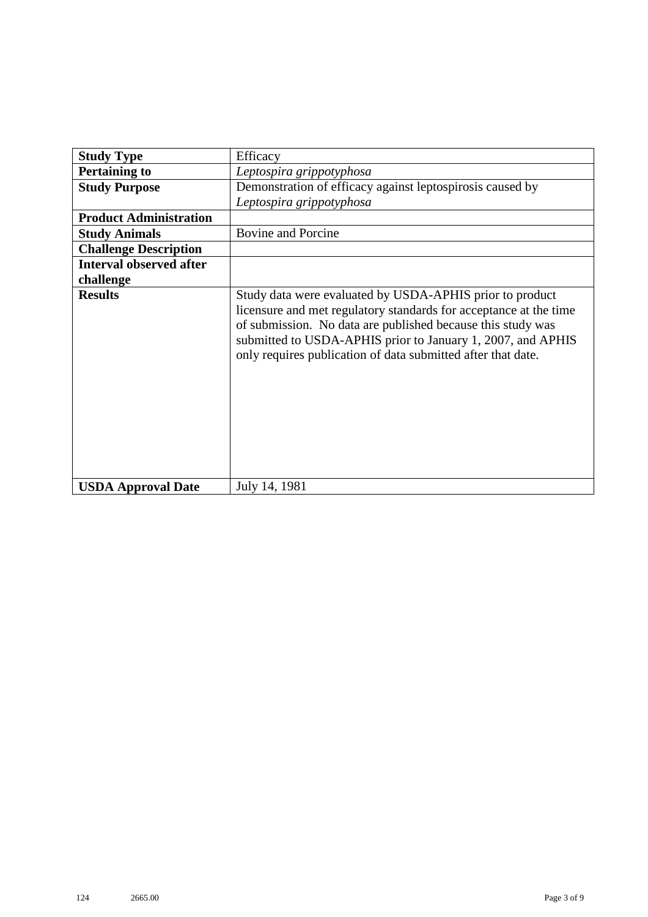| <b>Study Type</b>              | Efficacy                                                                                                                                                                                                                                                                                                                    |  |  |  |  |  |  |  |
|--------------------------------|-----------------------------------------------------------------------------------------------------------------------------------------------------------------------------------------------------------------------------------------------------------------------------------------------------------------------------|--|--|--|--|--|--|--|
| <b>Pertaining to</b>           | Leptospira grippotyphosa                                                                                                                                                                                                                                                                                                    |  |  |  |  |  |  |  |
| <b>Study Purpose</b>           | Demonstration of efficacy against leptospirosis caused by                                                                                                                                                                                                                                                                   |  |  |  |  |  |  |  |
|                                | Leptospira grippotyphosa                                                                                                                                                                                                                                                                                                    |  |  |  |  |  |  |  |
| <b>Product Administration</b>  |                                                                                                                                                                                                                                                                                                                             |  |  |  |  |  |  |  |
| <b>Study Animals</b>           | <b>Bovine and Porcine</b>                                                                                                                                                                                                                                                                                                   |  |  |  |  |  |  |  |
| <b>Challenge Description</b>   |                                                                                                                                                                                                                                                                                                                             |  |  |  |  |  |  |  |
| <b>Interval observed after</b> |                                                                                                                                                                                                                                                                                                                             |  |  |  |  |  |  |  |
| challenge                      |                                                                                                                                                                                                                                                                                                                             |  |  |  |  |  |  |  |
| <b>Results</b>                 | Study data were evaluated by USDA-APHIS prior to product<br>licensure and met regulatory standards for acceptance at the time<br>of submission. No data are published because this study was<br>submitted to USDA-APHIS prior to January 1, 2007, and APHIS<br>only requires publication of data submitted after that date. |  |  |  |  |  |  |  |
| <b>USDA Approval Date</b>      | July 14, 1981                                                                                                                                                                                                                                                                                                               |  |  |  |  |  |  |  |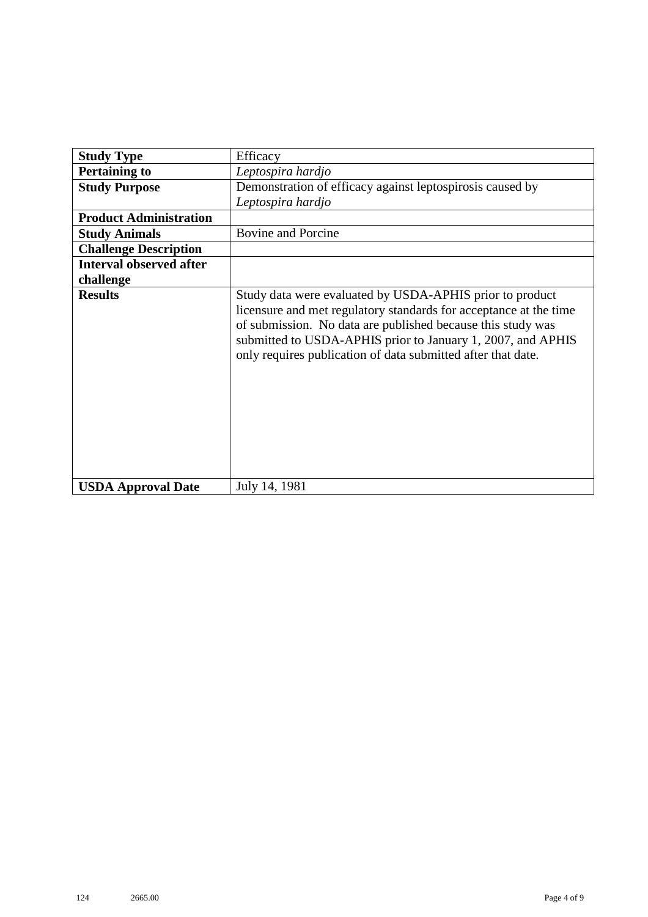| <b>Study Type</b>              | Efficacy                                                                                                                                                                                                                                                                                                                    |  |  |  |  |  |  |
|--------------------------------|-----------------------------------------------------------------------------------------------------------------------------------------------------------------------------------------------------------------------------------------------------------------------------------------------------------------------------|--|--|--|--|--|--|
| <b>Pertaining to</b>           | Leptospira hardjo                                                                                                                                                                                                                                                                                                           |  |  |  |  |  |  |
| <b>Study Purpose</b>           | Demonstration of efficacy against leptospirosis caused by                                                                                                                                                                                                                                                                   |  |  |  |  |  |  |
|                                | Leptospira hardjo                                                                                                                                                                                                                                                                                                           |  |  |  |  |  |  |
| <b>Product Administration</b>  |                                                                                                                                                                                                                                                                                                                             |  |  |  |  |  |  |
| <b>Study Animals</b>           | <b>Bovine and Porcine</b>                                                                                                                                                                                                                                                                                                   |  |  |  |  |  |  |
| <b>Challenge Description</b>   |                                                                                                                                                                                                                                                                                                                             |  |  |  |  |  |  |
| <b>Interval observed after</b> |                                                                                                                                                                                                                                                                                                                             |  |  |  |  |  |  |
| challenge                      |                                                                                                                                                                                                                                                                                                                             |  |  |  |  |  |  |
| <b>Results</b>                 | Study data were evaluated by USDA-APHIS prior to product<br>licensure and met regulatory standards for acceptance at the time<br>of submission. No data are published because this study was<br>submitted to USDA-APHIS prior to January 1, 2007, and APHIS<br>only requires publication of data submitted after that date. |  |  |  |  |  |  |
| <b>USDA Approval Date</b>      | July 14, 1981                                                                                                                                                                                                                                                                                                               |  |  |  |  |  |  |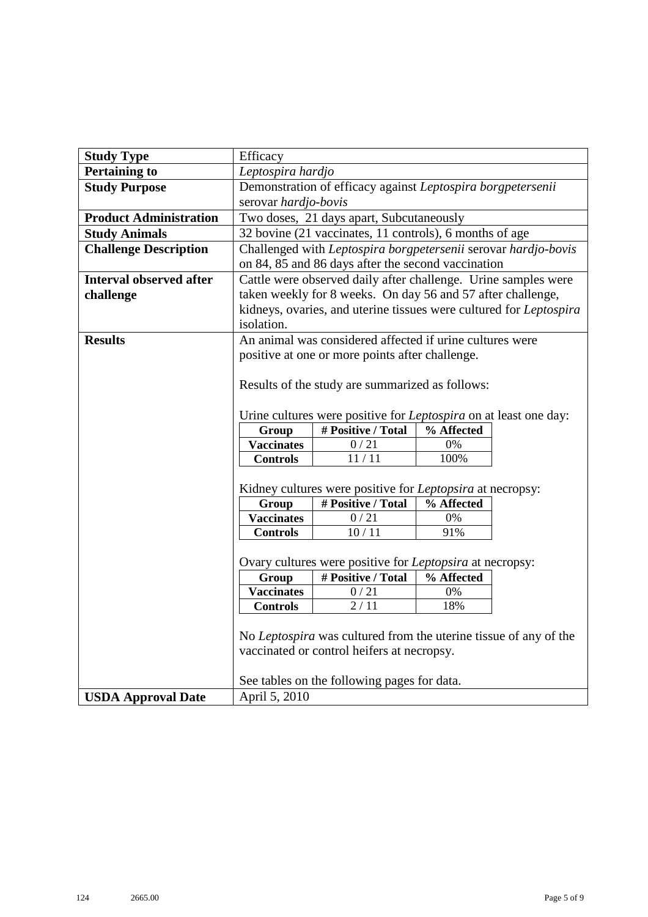| <b>Study Type</b>              | Efficacy                                                       |                                                                         |            |  |  |  |  |  |  |
|--------------------------------|----------------------------------------------------------------|-------------------------------------------------------------------------|------------|--|--|--|--|--|--|
| <b>Pertaining to</b>           | Leptospira hardjo                                              |                                                                         |            |  |  |  |  |  |  |
| <b>Study Purpose</b>           | Demonstration of efficacy against Leptospira borgpetersenii    |                                                                         |            |  |  |  |  |  |  |
|                                | serovar hardjo-bovis                                           |                                                                         |            |  |  |  |  |  |  |
| <b>Product Administration</b>  | Two doses, 21 days apart, Subcutaneously                       |                                                                         |            |  |  |  |  |  |  |
| <b>Study Animals</b>           | 32 bovine (21 vaccinates, 11 controls), 6 months of age        |                                                                         |            |  |  |  |  |  |  |
| <b>Challenge Description</b>   | Challenged with Leptospira borgpetersenii serovar hardjo-bovis |                                                                         |            |  |  |  |  |  |  |
|                                | on 84, 85 and 86 days after the second vaccination             |                                                                         |            |  |  |  |  |  |  |
| <b>Interval observed after</b> | Cattle were observed daily after challenge. Urine samples were |                                                                         |            |  |  |  |  |  |  |
| challenge                      | taken weekly for 8 weeks. On day 56 and 57 after challenge,    |                                                                         |            |  |  |  |  |  |  |
|                                |                                                                | kidneys, ovaries, and uterine tissues were cultured for Leptospira      |            |  |  |  |  |  |  |
|                                | isolation.                                                     |                                                                         |            |  |  |  |  |  |  |
| <b>Results</b>                 |                                                                | An animal was considered affected if urine cultures were                |            |  |  |  |  |  |  |
|                                |                                                                | positive at one or more points after challenge.                         |            |  |  |  |  |  |  |
|                                |                                                                |                                                                         |            |  |  |  |  |  |  |
|                                |                                                                | Results of the study are summarized as follows:                         |            |  |  |  |  |  |  |
|                                |                                                                |                                                                         |            |  |  |  |  |  |  |
|                                |                                                                | Urine cultures were positive for <i>Leptospira</i> on at least one day: |            |  |  |  |  |  |  |
|                                | # Positive / Total<br>% Affected<br>Group                      |                                                                         |            |  |  |  |  |  |  |
|                                | <b>Vaccinates</b><br>0/21<br>0%<br>11/11<br>100%               |                                                                         |            |  |  |  |  |  |  |
|                                | <b>Controls</b>                                                |                                                                         |            |  |  |  |  |  |  |
|                                | Kidney cultures were positive for Leptopsira at necropsy:      |                                                                         |            |  |  |  |  |  |  |
|                                | # Positive / Total<br>Group<br>% Affected                      |                                                                         |            |  |  |  |  |  |  |
|                                | <b>Vaccinates</b><br>$0/21$<br>0%                              |                                                                         |            |  |  |  |  |  |  |
|                                | <b>Controls</b><br>10/11<br>91%                                |                                                                         |            |  |  |  |  |  |  |
|                                |                                                                |                                                                         |            |  |  |  |  |  |  |
|                                |                                                                | Ovary cultures were positive for Leptopsira at necropsy:                |            |  |  |  |  |  |  |
|                                | Group                                                          | # Positive / Total                                                      | % Affected |  |  |  |  |  |  |
|                                | <b>Vaccinates</b>                                              | 0/21                                                                    | 0%         |  |  |  |  |  |  |
|                                | Controls                                                       | 2/11                                                                    | 18%        |  |  |  |  |  |  |
|                                |                                                                |                                                                         |            |  |  |  |  |  |  |
|                                |                                                                | No Leptospira was cultured from the uterine tissue of any of the        |            |  |  |  |  |  |  |
|                                |                                                                | vaccinated or control heifers at necropsy.                              |            |  |  |  |  |  |  |
|                                |                                                                |                                                                         |            |  |  |  |  |  |  |
|                                |                                                                | See tables on the following pages for data.                             |            |  |  |  |  |  |  |
| <b>USDA Approval Date</b>      |                                                                | April 5, 2010                                                           |            |  |  |  |  |  |  |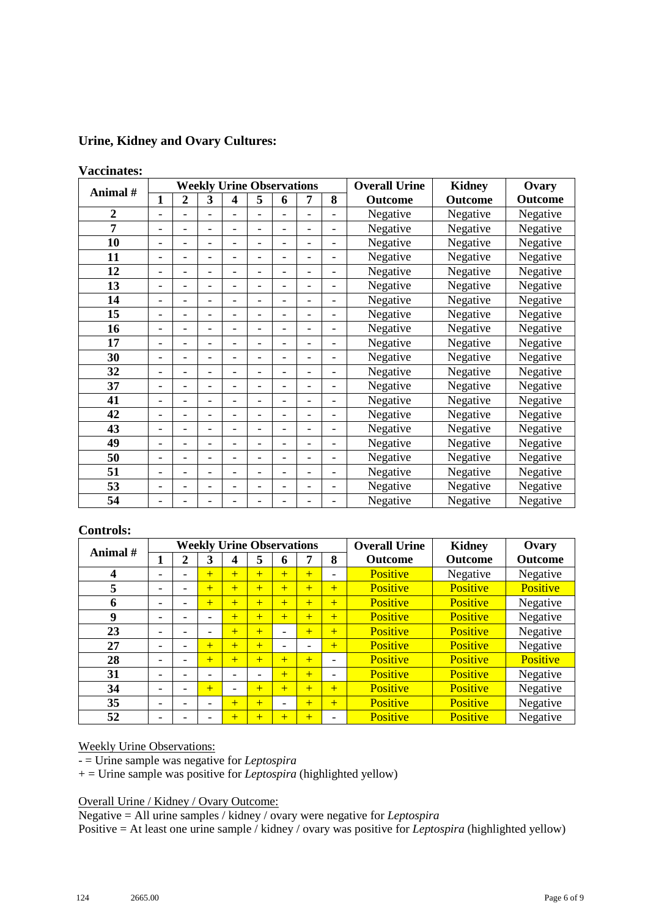### **Urine, Kidney and Ovary Cultures:**

#### **Vaccinates:**

| Animal #       | <b>Weekly Urine Observations</b> |                              |                          |                          |                          |                          |                              |                          | <b>Overall Urine</b> | <b>Kidney</b> | Ovary          |
|----------------|----------------------------------|------------------------------|--------------------------|--------------------------|--------------------------|--------------------------|------------------------------|--------------------------|----------------------|---------------|----------------|
|                | $\mathbf{1}$                     | $\overline{2}$               | 3                        | 4                        | 5                        | 6                        | 7                            | 8                        | Outcome              | Outcome       | <b>Outcome</b> |
| $\overline{2}$ | $\overline{\phantom{a}}$         |                              |                          |                          |                          |                          |                              |                          | Negative             | Negative      | Negative       |
| 7              | $\overline{\phantom{a}}$         | -                            | $\overline{\phantom{0}}$ | $\overline{\phantom{0}}$ |                          | $\overline{a}$           |                              | $\overline{a}$           | Negative             | Negative      | Negative       |
| 10             | $\overline{\phantom{a}}$         | $\qquad \qquad \blacksquare$ | Ξ.                       | ۳                        | $\overline{\phantom{0}}$ | $\overline{\phantom{0}}$ | -                            | $\overline{\phantom{a}}$ | Negative             | Negative      | Negative       |
| 11             | $\overline{\phantom{0}}$         | $\qquad \qquad \blacksquare$ | $\overline{\phantom{0}}$ |                          |                          |                          |                              | $\overline{\phantom{a}}$ | Negative             | Negative      | Negative       |
| 12             | $\overline{\phantom{a}}$         | $\qquad \qquad \blacksquare$ | $\overline{\phantom{0}}$ | ۰                        |                          | $\overline{a}$           |                              | -                        | Negative             | Negative      | Negative       |
| 13             | $\overline{\phantom{a}}$         | $\overline{\phantom{a}}$     | -                        | ۰                        | $\qquad \qquad$          | ۳                        | -                            | -                        | Negative             | Negative      | Negative       |
| 14             | $\overline{\phantom{a}}$         | $\overline{\phantom{a}}$     | -                        | ۳                        | $\overline{\phantom{0}}$ | $\overline{a}$           | -                            | -                        | Negative             | Negative      | Negative       |
| 15             | $\overline{\phantom{a}}$         | $\overline{\phantom{0}}$     | $\overline{\phantom{0}}$ | ۳                        | $\overline{\phantom{0}}$ | ۳                        |                              | $\overline{\phantom{0}}$ | Negative             | Negative      | Negative       |
| 16             | $\overline{\phantom{a}}$         | ۳                            |                          |                          |                          |                          |                              | $\overline{a}$           | Negative             | Negative      | Negative       |
| 17             | $\overline{\phantom{a}}$         | ۰                            |                          |                          |                          |                          |                              | $\overline{a}$           | Negative             | Negative      | Negative       |
| 30             | $\overline{\phantom{a}}$         | $\overline{\phantom{a}}$     | $\overline{\phantom{0}}$ | ۰                        | $\overline{\phantom{0}}$ | -                        | $\qquad \qquad \blacksquare$ | $\overline{a}$           | Negative             | Negative      | Negative       |
| 32             | $\overline{\phantom{a}}$         | $\overline{\phantom{0}}$     |                          |                          |                          | $\overline{a}$           |                              | $\overline{\phantom{0}}$ | Negative             | Negative      | Negative       |
| 37             | $\blacksquare$                   |                              |                          |                          |                          |                          |                              |                          | Negative             | Negative      | Negative       |
| 41             | $\overline{\phantom{a}}$         | ۰                            |                          |                          |                          |                          |                              | $\overline{a}$           | Negative             | Negative      | Negative       |
| 42             | $\overline{\phantom{a}}$         | $\qquad \qquad \blacksquare$ |                          | ۳                        |                          | $\overline{a}$           |                              | $\overline{a}$           | Negative             | Negative      | Negative       |
| 43             | $\overline{\phantom{a}}$         | ۰                            | $\overline{\phantom{0}}$ | ۳                        |                          | $\overline{a}$           |                              | $\overline{\phantom{0}}$ | Negative             | Negative      | Negative       |
| 49             | $\overline{\phantom{a}}$         | $\qquad \qquad \blacksquare$ | $\overline{\phantom{0}}$ |                          |                          |                          |                              | $\overline{\phantom{0}}$ | Negative             | Negative      | Negative       |
| 50             | $\overline{\phantom{a}}$         | ۰                            |                          |                          |                          | ۳                        |                              | -                        | Negative             | Negative      | Negative       |
| 51             | $\overline{\phantom{a}}$         | $\qquad \qquad \blacksquare$ | -                        | ۰                        | $\qquad \qquad$          | ۳                        | ۰                            | $\overline{a}$           | Negative             | Negative      | Negative       |
| 53             | $\overline{\phantom{a}}$         | $\overline{\phantom{0}}$     | -                        |                          | ۰                        | $\overline{a}$           | $\overline{a}$               | $\overline{a}$           | Negative             | Negative      | Negative       |
| 54             | $\overline{\phantom{a}}$         |                              |                          |                          |                          |                          |                              | -                        | Negative             | Negative      | Negative       |

### **Controls:**

| Animal # | <b>Weekly Urine Observations</b> |                          |                          |                          |     |     |     |                          | <b>Overall Urine</b> | <b>Kidney</b>   | Ovary           |
|----------|----------------------------------|--------------------------|--------------------------|--------------------------|-----|-----|-----|--------------------------|----------------------|-----------------|-----------------|
|          |                                  | 2                        | 3                        | 4                        | 5   | o   | 7   | 8                        | <b>Outcome</b>       | <b>Outcome</b>  | <b>Outcome</b>  |
| 4        | -                                |                          | $+$                      | $+$                      | $+$ | $+$ | $+$ | $\overline{\phantom{0}}$ | <b>Positive</b>      | Negative        | Negative        |
| 5        | $\overline{\phantom{0}}$         |                          | $+$                      | $+$                      | $+$ | $+$ | $+$ | $+$                      | <b>Positive</b>      | <b>Positive</b> | Positive        |
| 6        | $\overline{\phantom{a}}$         | ۰                        | $+$                      | $+$                      | $+$ | $+$ | $+$ | $+$                      | <b>Positive</b>      | <b>Positive</b> | Negative        |
| 9        | $\overline{\phantom{0}}$         |                          |                          | $+$                      | $+$ | $+$ | $+$ | $+$                      | <b>Positive</b>      | <b>Positive</b> | Negative        |
| 23       | $\overline{\phantom{0}}$         | $\overline{\phantom{0}}$ | $\overline{\phantom{0}}$ | $+$                      | $+$ |     | $+$ | $+$                      | Positive             | <b>Positive</b> | Negative        |
| 27       | -                                | ۰                        | $+$                      | $+$                      | $+$ | -   |     | $\pm$                    | <b>Positive</b>      | <b>Positive</b> | Negative        |
| 28       | $\overline{\phantom{a}}$         | ۰                        | $+$                      | $+$                      | $+$ | $+$ | $+$ | $\overline{\phantom{0}}$ | <b>Positive</b>      | <b>Positive</b> | <b>Positive</b> |
| 31       | $\overline{\phantom{a}}$         |                          |                          | -                        |     | $+$ | $+$ | $\qquad \qquad -$        | <b>Positive</b>      | Positive        | Negative        |
| 34       | $\overline{\phantom{0}}$         |                          | $+$                      | $\overline{\phantom{0}}$ | $+$ | $+$ | $+$ | $+$                      | Positive             | Positive        | Negative        |
| 35       | -                                |                          |                          | $+$                      | $+$ | -   | $+$ | $+$                      | <b>Positive</b>      | <b>Positive</b> | Negative        |
| 52       | $\overline{\phantom{a}}$         |                          |                          | $+$                      | $+$ | $+$ | $+$ | $\overline{\phantom{0}}$ | Positive             | <b>Positive</b> | Negative        |

Weekly Urine Observations:

- = Urine sample was negative for *Leptospira* 

+ = Urine sample was positive for *Leptospira* (highlighted yellow)

Overall Urine / Kidney / Ovary Outcome:

Negative = All urine samples / kidney / ovary were negative for *Leptospira*

Positive = At least one urine sample / kidney / ovary was positive for *Leptospira* (highlighted yellow)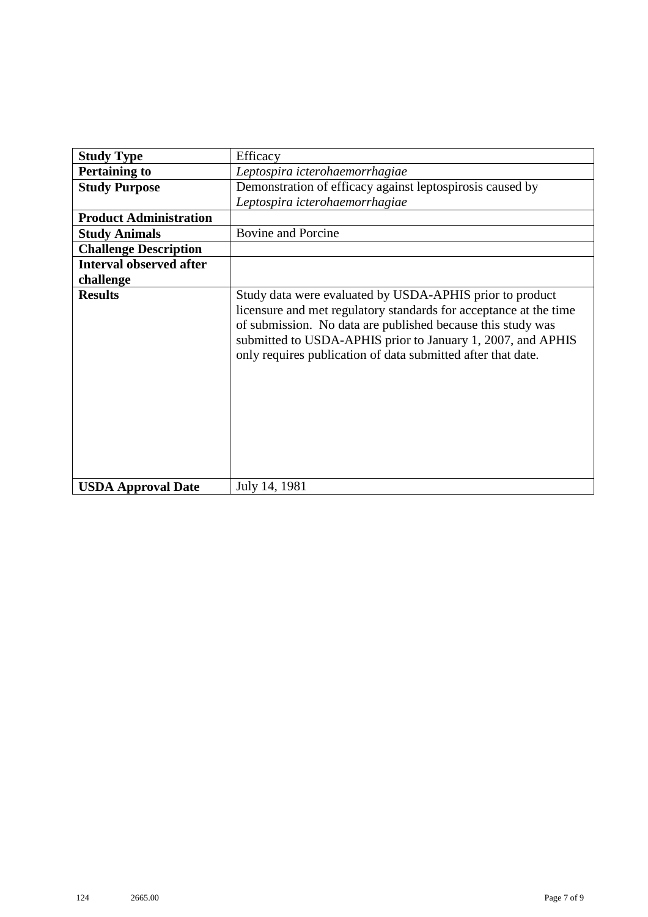| <b>Study Type</b>              | Efficacy                                                                                                                                                                                                                                                                                                                    |  |  |  |  |  |  |  |
|--------------------------------|-----------------------------------------------------------------------------------------------------------------------------------------------------------------------------------------------------------------------------------------------------------------------------------------------------------------------------|--|--|--|--|--|--|--|
| <b>Pertaining to</b>           | Leptospira icterohaemorrhagiae                                                                                                                                                                                                                                                                                              |  |  |  |  |  |  |  |
| <b>Study Purpose</b>           | Demonstration of efficacy against leptospirosis caused by                                                                                                                                                                                                                                                                   |  |  |  |  |  |  |  |
|                                | Leptospira icterohaemorrhagiae                                                                                                                                                                                                                                                                                              |  |  |  |  |  |  |  |
| <b>Product Administration</b>  |                                                                                                                                                                                                                                                                                                                             |  |  |  |  |  |  |  |
| <b>Study Animals</b>           | <b>Bovine and Porcine</b>                                                                                                                                                                                                                                                                                                   |  |  |  |  |  |  |  |
| <b>Challenge Description</b>   |                                                                                                                                                                                                                                                                                                                             |  |  |  |  |  |  |  |
| <b>Interval observed after</b> |                                                                                                                                                                                                                                                                                                                             |  |  |  |  |  |  |  |
| challenge                      |                                                                                                                                                                                                                                                                                                                             |  |  |  |  |  |  |  |
| <b>Results</b>                 | Study data were evaluated by USDA-APHIS prior to product<br>licensure and met regulatory standards for acceptance at the time<br>of submission. No data are published because this study was<br>submitted to USDA-APHIS prior to January 1, 2007, and APHIS<br>only requires publication of data submitted after that date. |  |  |  |  |  |  |  |
| <b>USDA Approval Date</b>      | July 14, 1981                                                                                                                                                                                                                                                                                                               |  |  |  |  |  |  |  |